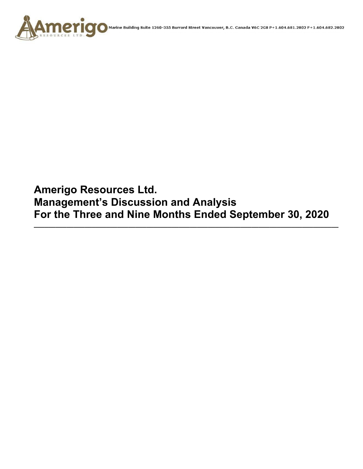

**AMCYICO** Marine Building Suite 1260-355 Burrard Street Vancouver, B.C. Canada V6C 2G8 P+1.604.681.2802 F+1.604.682.2802

**Amerigo Resources Ltd. Management's Discussion and Analysis For the Three and Nine Months Ended September 30, 2020** 

**\_\_\_\_\_\_\_\_\_\_\_\_\_\_\_\_\_\_\_\_\_\_\_\_\_\_\_\_\_\_\_\_\_\_\_\_\_\_\_\_\_\_\_\_\_\_\_\_\_\_\_\_\_\_\_\_\_\_\_\_\_\_\_\_\_\_\_\_\_\_\_\_\_\_\_\_\_\_\_\_\_\_\_\_**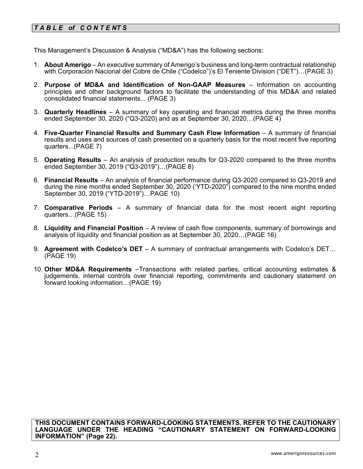# *T A B L E of C O N T E NT S*

This Management's Discussion & Analysis ("MD&A") has the following sections:

- 1. **About Amerigo**  An executive summary of Amerigo's business and long-term contractual relationship with Corporación Nacional del Cobre de Chile ("Codelco")'s El Teniente Division ("DET")…(PAGE 3)
- 2. **Purpose of MD&A and Identification of Non-GAAP Measures**  Information on accounting principles and other background factors to facilitate the understanding of this MD&A and related consolidated financial statements... (PAGE 3)
- 3. **Quarterly Headlines** A summary of key operating and financial metrics during the three months ended September 30, 2020 ("Q3-2020) and as at September 30, 2020…(PAGE 4)
- 4. **Five-Quarter Financial Results and Summary Cash Flow Information**  A summary of financial results and uses and sources of cash presented on a quarterly basis for the most recent five reporting quarters...(PAGE 7)
- 5. **Operating Results** An analysis of production results for Q3-2020 compared to the three months ended September 30, 2019 ("Q3-2019")…(PAGE 8)
- 6. **Financial Results**  An analysis of financial performance during Q3-2020 compared to Q3-2019 and during the nine months ended September 30, 2020 ('YTD-2020") compared to the nine months ended September 30, 2019 ("YTD-2019")…PAGE 10)
- 7. **Comparative Periods** A summary of financial data for the most recent eight reporting quarters…(PAGE 15)
- 8. **Liquidity and Financial Position**  A review of cash flow components, summary of borrowings and analysis of liquidity and financial position as at September 30, 2020…(PAGE 16)
- 9. **Agreement with Codelco's DET** A summary of contractual arrangements with Codelco's DET… (PAGE 19)
- 10. **Other MD&A Requirements** –Transactions with related parties, critical accounting estimates & judgements, internal controls over financial reporting, commitments and cautionary statement on forward looking information…(PAGE 19)

**THIS DOCUMENT CONTAINS FORWARD-LOOKING STATEMENTS. REFER TO THE CAUTIONARY LANGUAGE UNDER THE HEADING "CAUTIONARY STATEMENT ON FORWARD-LOOKING INFORMATION" (Page 22).**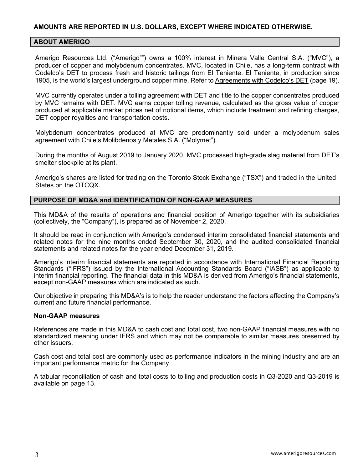## **AMOUNTS ARE REPORTED IN U.S. DOLLARS, EXCEPT WHERE INDICATED OTHERWISE.**

#### **ABOUT AMERIGO**

Amerigo Resources Ltd. ("Amerigo"") owns a 100% interest in Minera Valle Central S.A. ("MVC"), a producer of copper and molybdenum concentrates. MVC, located in Chile, has a long-term contract with Codelco's DET to process fresh and historic tailings from El Teniente. El Teniente, in production since 1905, is the world's largest underground copper mine. Refer to Agreements with Codelco's DET (page 19).

MVC currently operates under a tolling agreement with DET and title to the copper concentrates produced by MVC remains with DET. MVC earns copper tolling revenue, calculated as the gross value of copper produced at applicable market prices net of notional items, which include treatment and refining charges, DET copper royalties and transportation costs.

Molybdenum concentrates produced at MVC are predominantly sold under a molybdenum sales agreement with Chile's Molibdenos y Metales S.A. ("Molymet").

During the months of August 2019 to January 2020, MVC processed high-grade slag material from DET's smelter stockpile at its plant.

Amerigo's shares are listed for trading on the Toronto Stock Exchange ("TSX") and traded in the United States on the OTCQX.

#### **PURPOSE OF MD&A and IDENTIFICATION OF NON-GAAP MEASURES**

This MD&A of the results of operations and financial position of Amerigo together with its subsidiaries (collectively, the "Company"), is prepared as of November 2, 2020.

It should be read in conjunction with Amerigo's condensed interim consolidated financial statements and related notes for the nine months ended September 30, 2020, and the audited consolidated financial statements and related notes for the year ended December 31, 2019.

Amerigo's interim financial statements are reported in accordance with International Financial Reporting Standards ("IFRS") issued by the International Accounting Standards Board ("IASB") as applicable to interim financial reporting. The financial data in this MD&A is derived from Amerigo's financial statements, except non-GAAP measures which are indicated as such.

Our objective in preparing this MD&A's is to help the reader understand the factors affecting the Company's current and future financial performance.

#### **Non-GAAP measures**

References are made in this MD&A to cash cost and total cost, two non-GAAP financial measures with no standardized meaning under IFRS and which may not be comparable to similar measures presented by other issuers.

Cash cost and total cost are commonly used as performance indicators in the mining industry and are an important performance metric for the Company.

A tabular reconciliation of cash and total costs to tolling and production costs in Q3-2020 and Q3-2019 is available on page 13.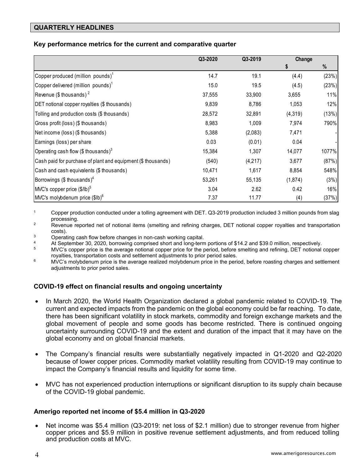# **QUARTERLY HEADLINES**

# **Key performance metrics for the current and comparative quarter**

|                                                              | Q3-2020 | Q3-2019 | Change  |       |
|--------------------------------------------------------------|---------|---------|---------|-------|
|                                                              |         |         | \$      | %     |
| Copper produced (million pounds) $1$                         | 14.7    | 19.1    | (4.4)   | (23%) |
| Copper delivered (million pounds) $1$                        | 15.0    | 19.5    | (4.5)   | (23%) |
| Revenue (\$ thousands) <sup>2</sup>                          | 37,555  | 33,900  | 3,655   | 11%   |
| DET notional copper royalties (\$ thousands)                 | 9,839   | 8,786   | 1,053   | 12%   |
| Tolling and production costs (\$ thousands)                  | 28,572  | 32,891  | (4,319) | (13%) |
| Gross profit (loss) (\$ thousands)                           | 8,983   | 1,009   | 7,974   | 790%  |
| Net income (loss) (\$ thousands)                             | 5,388   | (2,083) | 7,471   |       |
| Earnings (loss) per share                                    | 0.03    | (0.01)  | 0.04    |       |
| Operating cash flow (\$ thousands) $3$                       | 15,384  | 1,307   | 14,077  | 1077% |
| Cash paid for purchase of plant and equipment (\$ thousands) | (540)   | (4,217) | 3,677   | (87%) |
| Cash and cash equivalents (\$ thousands)                     | 10,471  | 1,617   | 8,854   | 548%  |
| Borrowings (\$ thousands) <sup>4</sup>                       | 53,261  | 55,135  | (1,874) | (3%)  |
| MVC's copper price $($/lb)^5$                                | 3.04    | 2.62    | 0.42    | 16%   |
| MVC's molybdenum price (\$lb) <sup>6</sup>                   | 7.37    | 11.77   | (4)     | (37%) |

1 Copper production conducted under a tolling agreement with DET. Q3-2019 production included 3 million pounds from slag processing.<br><sup>2</sup> Revenue reported net of notional items (smelting and refining charges, DET notional copper royalties and transportation

costs).<br>3 Operating cash flow before changes in non-cash working capital.<br>3 At September 30, 2020, borrowing comprised short and long-term portions of \$14.2 and \$39.0 million, respectively.

5 MVC's copper price is the average notional copper price for the period, before smelting and refining, DET notional copper royalties, transportation costs and settlement adjustments to prior period sales.<br><sup>6</sup> MVC's molybdenum price is the average realized molybdenum price in the period, before roasting charges and settlement

adjustments to prior period sales.

## **COVID-19 effect on financial results and ongoing uncertainty**

- In March 2020, the World Health Organization declared a global pandemic related to COVID-19. The current and expected impacts from the pandemic on the global economy could be far reaching. To date, there has been significant volatility in stock markets, commodity and foreign exchange markets and the global movement of people and some goods has become restricted. There is continued ongoing uncertainty surrounding COVID-19 and the extent and duration of the impact that it may have on the global economy and on global financial markets.
- The Company's financial results were substantially negatively impacted in Q1-2020 and Q2-2020 because of lower copper prices. Commodity market volatility resulting from COVID-19 may continue to impact the Company's financial results and liquidity for some time.
- MVC has not experienced production interruptions or significant disruption to its supply chain because of the COVID-19 global pandemic.

## **Amerigo reported net income of \$5.4 million in Q3-2020**

• Net income was \$5.4 million (Q3-2019: net loss of \$2.1 million) due to stronger revenue from higher copper prices and \$5.9 million in positive revenue settlement adjustments, and from reduced tolling and production costs at MVC.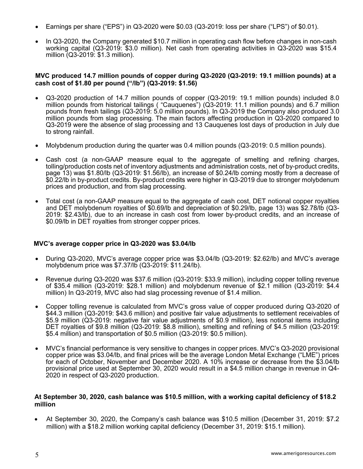- Earnings per share ("EPS") in Q3-2020 were \$0.03 (Q3-2019: loss per share ("LPS") of \$0.01).
- In Q3-2020, the Company generated \$10.7 million in operating cash flow before changes in non-cash working capital (Q3-2019: \$3.0 million). Net cash from operating activities in Q3-2020 was \$15.4 million (Q3-2019: \$1.3 million).

#### **MVC produced 14.7 million pounds of copper during Q3-2020 (Q3-2019: 19.1 million pounds) at a cash cost of \$1.80 per pound ("/lb") (Q3-2019: \$1.56)**

- Q3-2020 production of 14.7 million pounds of copper (Q3-2019: 19.1 million pounds) included 8.0 million pounds from historical tailings ( "Cauquenes") (Q3-2019: 11.1 million pounds) and 6.7 million pounds from fresh tailings (Q3-2019: 5.0 million pounds). In Q3-2019 the Company also produced 3.0 million pounds from slag processing. The main factors affecting production in Q3-2020 compared to Q3-2019 were the absence of slag processing and 13 Cauquenes lost days of production in July due to strong rainfall.
- Molybdenum production during the quarter was 0.4 million pounds (Q3-2019: 0.5 million pounds).
- Cash cost (a non-GAAP measure equal to the aggregate of smelting and refining charges, tolling/production costs net of inventory adjustments and administration costs, net of by-product credits, page 13) was \$1.80/lb (Q3-2019: \$1.56/lb), an increase of \$0.24/lb coming mostly from a decrease of \$0.22/lb in by-product credits. By-product credits were higher in Q3-2019 due to stronger molybdenum prices and production, and from slag processing.
- Total cost (a non-GAAP measure equal to the aggregate of cash cost, DET notional copper royalties and DET molybdenum royalties of \$0.69/lb and depreciation of \$0.29/lb, page 13) was \$2.78/lb (Q3- 2019: \$2.43/lb), due to an increase in cash cost from lower by-product credits, and an increase of \$0.09/lb in DET royalties from stronger copper prices.

#### **MVC's average copper price in Q3-2020 was \$3.04/lb**

- During Q3-2020, MVC's average copper price was \$3.04/lb (Q3-2019: \$2.62/lb) and MVC's average molybdenum price was \$7.37/lb (Q3-2019: \$11.24/lb).
- Revenue during Q3-2020 was \$37.6 million (Q3-2019: \$33.9 million), including copper tolling revenue of \$35.4 million (Q3-2019: \$28.1 million) and molybdenum revenue of \$2.1 million (Q3-2019: \$4.4 million) In Q3-2019, MVC also had slag processing revenue of \$1.4 million.
- Copper tolling revenue is calculated from MVC's gross value of copper produced during Q3-2020 of \$44.3 million (Q3-2019: \$43.6 million) and positive fair value adjustments to settlement receivables of \$5.9 million (Q3-2019: negative fair value adjustments of \$0.9 million), less notional items including DET royalties of \$9.8 million (Q3-2019: \$8.8 million), smelting and refining of \$4.5 million (Q3-2019: \$5.4 million) and transportation of \$0.5 million (Q3-2019: \$0.5 million).
- MVC's financial performance is very sensitive to changes in copper prices. MVC's Q3-2020 provisional copper price was \$3.04/lb, and final prices will be the average London Metal Exchange ("LME") prices for each of October, November and December 2020. A 10% increase or decrease from the \$3.04/lb provisional price used at September 30, 2020 would result in a \$4.5 million change in revenue in Q4- 2020 in respect of Q3-2020 production.

#### **At September 30, 2020, cash balance was \$10.5 million, with a working capital deficiency of \$18.2 million**

 At September 30, 2020, the Company's cash balance was \$10.5 million (December 31, 2019: \$7.2 million) with a \$18.2 million working capital deficiency (December 31, 2019: \$15.1 million).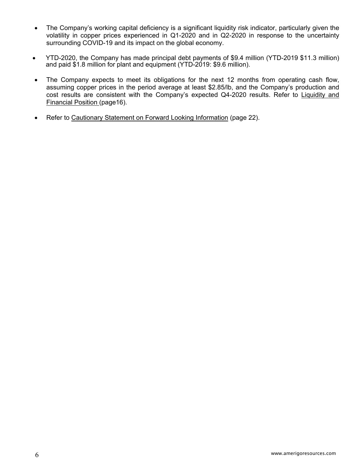- The Company's working capital deficiency is a significant liquidity risk indicator, particularly given the volatility in copper prices experienced in Q1-2020 and in Q2-2020 in response to the uncertainty surrounding COVID-19 and its impact on the global economy.
- YTD-2020, the Company has made principal debt payments of \$9.4 million (YTD-2019 \$11.3 million) and paid \$1.8 million for plant and equipment (YTD-2019: \$9.6 million).
- The Company expects to meet its obligations for the next 12 months from operating cash flow, assuming copper prices in the period average at least \$2.85/lb, and the Company's production and cost results are consistent with the Company's expected Q4-2020 results. Refer to Liquidity and Financial Position (page16).
- Refer to Cautionary Statement on Forward Looking Information (page 22).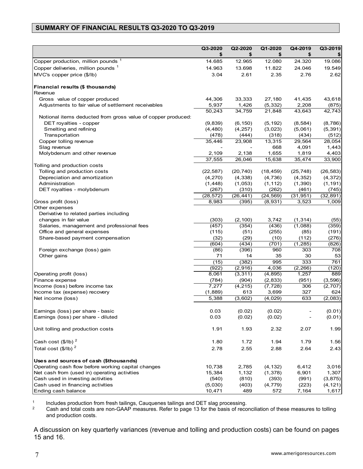# **SUMMARY OF FINANCIAL RESULTS Q3-2020 TO Q3-2019**

|                                                              | Q3-2020<br>S       | Q2-2020<br>\$      | Q1-2020<br>\$        | Q4-2019<br>\$      | Q3-2019            |
|--------------------------------------------------------------|--------------------|--------------------|----------------------|--------------------|--------------------|
| Copper production, million pounds <sup>1</sup>               | 14.685             | 12.965             | 12.080               | 24.320             | 19.086             |
| Copper deliveries, million pounds 1                          | 14.963             | 13.698             | 11.822               | 24.046             | 19.549             |
| MVC's copper price (\$/lb)                                   | 3.04               | 2.61               | 2.35                 | 2.76               | 2.62               |
| Financial results (\$ thousands)<br>Revenue                  |                    |                    |                      |                    |                    |
| Gross value of copper produced                               | 44,306             | 33,333             | 27,180               | 41,435             | 43,618             |
| Adjustments to fair value of settlement receivables          | 5,937              | 1,426              | (5, 332)             | 2,208              | (875)              |
|                                                              | 50,243             | 34,759             | 21,848               | 43,643             | 42,743             |
| Notional items deducted from gross value of copper produced: |                    |                    |                      |                    |                    |
| DET royalties - copper                                       | (9,839)            | (6, 150)           | (5, 192)             | (8, 584)           | (8,786)            |
| Smelting and refining                                        | (4, 480)           | (4, 257)           | (3,023)              | (5,061)            | (5, 391)           |
| Transportation                                               | (478)              | (444)              | (318)                | (434)              | (512)              |
| Copper tolling revenue                                       | 35,446             | 23,908             | 13,315               | 29,564             | 28,054             |
| Slag revenue                                                 |                    |                    | 668                  | 4,091              | 1,443              |
| Molybdenum and other revenue                                 | 2,109              | 2,138              | 1,655                | 1,819              | 4,403              |
|                                                              | 37,555             | 26,046             | 15,638               | 35,474             | 33,900             |
| Tolling and production costs                                 |                    |                    |                      |                    |                    |
| Tolling and production costs                                 | (22, 587)          | (20, 740)          | (18, 459)            | (25, 748)          | (26, 583)          |
| Depreciation and amortization                                | (4, 270)           | (4, 338)           | (4,736)              | (4, 352)           | (4, 372)           |
| Administration                                               | (1, 448)           | (1,053)            | (1, 112)             | (1,390)            | (1, 191)           |
| DET royalties - molybdenum                                   | (267)<br>(28, 572) | (310)<br>(26, 441) | (262)                | (461)              | (745)<br>(32, 891) |
| Gross profit (loss)                                          | 8,983              | (395)              | (24, 569)<br>(8,931) | (31, 951)<br>3,523 | 1,009              |
| Other expenses                                               |                    |                    |                      |                    |                    |
| Derivative to related parties including                      |                    |                    |                      |                    |                    |
| changes in fair value                                        | (303)              | (2, 100)           | 3,742                | (1, 314)           | (55)               |
| Salaries, management and professional fees                   | (457)              | (354)              | (436)                | (1,088)            | (359)              |
| Office and general expenses                                  | (115)              | (51)               | (255)                | (85)               | (191)              |
| Share-based payment compensation                             | (32)               | (29)               | (10)                 | (112)              | (276)              |
|                                                              | (604)              | (434)              | (701)                | (1, 285)           | (826)              |
| Foreign exchange (loss) gain                                 | (86)               | (396)              | 960                  | 303                | 708                |
| Other gains                                                  | 71                 | 14                 | 35                   | 30                 | 53                 |
|                                                              | (15)               | (382)              | 995                  | 333                | 761                |
|                                                              | (922)              | (2,916)            | 4,036                | (2, 266)           | (120)              |
| Operating profit (loss)                                      | 8,061              | (3, 311)           | (4, 895)             | 1,257              | 889                |
| Finance expense                                              | (784)              | (904)              | (2, 833)             | (951)              | (3, 596)           |
| Income (loss) before income tax                              | 7,277              | (4, 215)           | (7, 728)             | 306                | (2, 707)           |
| Income tax (expense) recovery                                | (1,889)            | 613                | 3,699                | 327                | 624                |
| Net income (loss)                                            | 5,388              | (3,602)            | (4,029)              | 633                | (2,083)            |
| Earnings (loss) per share - basic                            |                    | (0.02)             | (0.02)               |                    | (0.01)             |
| Earnings (loss) per share - diluted                          | 0.03<br>0.03       | (0.02)             | (0.02)               |                    | (0.01)             |
| Unit tolling and production costs                            | 1.91               | 1.93               | 2.32                 | 2.07               | 1.99               |
| Cash cost $($/lb)^2$                                         | 1.80               | 1.72               | 1.94                 | 1.79               | 1.56               |
| Total cost $(\frac{1}{2}$ /lb) <sup>2</sup>                  | 2.78               | 2.55               | 2.88                 | 2.64               | 2.43               |
| Uses and sources of cash (\$thousands)                       |                    |                    |                      |                    |                    |
| Operating cash flow before working capital changes           | 10,738             | 2,785              | (4, 132)             | 6,412              | 3,016              |
| Net cash from (used in) operating activities                 | 15,384             | 1,132              | (1, 378)             | 6,901              | 1,307              |
| Cash used in investing activities                            | (540)              | (810)              | (393)                | (991)              | (3, 875)           |
| Cash used in financing activities                            | (5,030)            | (403)              | (4, 779)             | (223)              | (4, 121)           |
| Ending cash balance                                          | 10,471             | 489                | 572                  | 7,164              | 1,617              |

 $\mathbf{1}$  $1$  Includes production from fresh tailings, Cauquenes tailings and DET slag processing.<br> $2$  Cash and total costs are non-GAAP measures. Refer to page 13 for the basis of reco

2 Cash and total costs are non-GAAP measures. Refer to page 13 for the basis of reconciliation of these measures to tolling and production costs.

A discussion on key quarterly variances (revenue and tolling and production costs) can be found on pages 15 and 16.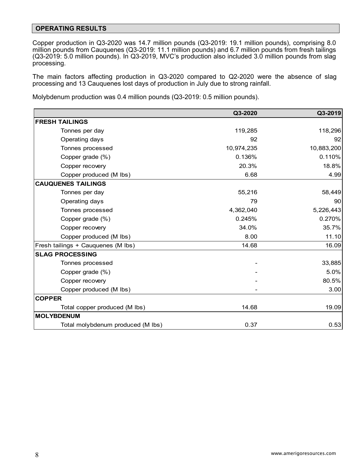#### **OPERATING RESULTS**

Copper production in Q3-2020 was 14.7 million pounds (Q3-2019: 19.1 million pounds), comprising 8.0 million pounds from Cauquenes (Q3-2019: 11.1 million pounds) and 6.7 million pounds from fresh tailings (Q3-2019: 5.0 million pounds). In Q3-2019, MVC's production also included 3.0 million pounds from slag processing.

The main factors affecting production in Q3-2020 compared to Q2-2020 were the absence of slag processing and 13 Cauquenes lost days of production in July due to strong rainfall.

Molybdenum production was 0.4 million pounds (Q3-2019: 0.5 million pounds).

|                                    | Q3-2020    | Q3-2019    |
|------------------------------------|------------|------------|
| <b>FRESH TAILINGS</b>              |            |            |
| Tonnes per day                     | 119,285    | 118,296    |
| Operating days                     | 92         | 92         |
| Tonnes processed                   | 10,974,235 | 10,883,200 |
| Copper grade (%)                   | 0.136%     | 0.110%     |
| Copper recovery                    | 20.3%      | 18.8%      |
| Copper produced (M lbs)            | 6.68       | 4.99       |
| <b>CAUQUENES TAILINGS</b>          |            |            |
| Tonnes per day                     | 55,216     | 58,449     |
| Operating days                     | 79         | 90         |
| Tonnes processed                   | 4,362,040  | 5,226,443  |
| Copper grade (%)                   | 0.245%     | 0.270%     |
| Copper recovery                    | 34.0%      | 35.7%      |
| Copper produced (M lbs)            | 8.00       | 11.10      |
| Fresh tailings + Cauquenes (M lbs) | 14.68      | 16.09      |
| <b>SLAG PROCESSING</b>             |            |            |
| Tonnes processed                   |            | 33,885     |
| Copper grade (%)                   |            | 5.0%       |
| Copper recovery                    |            | 80.5%      |
| Copper produced (M lbs)            |            | 3.00       |
| <b>COPPER</b>                      |            |            |
| Total copper produced (M lbs)      | 14.68      | 19.09      |
| <b>MOLYBDENUM</b>                  |            |            |
| Total molybdenum produced (M lbs)  | 0.37       | 0.53       |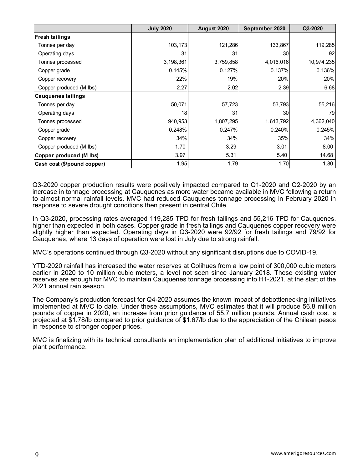|                             | <b>July 2020</b> | August 2020 | September 2020 | Q3-2020    |
|-----------------------------|------------------|-------------|----------------|------------|
| <b>Fresh tailings</b>       |                  |             |                |            |
| Tonnes per day              | 103,173          | 121,286     | 133,867        | 119,285    |
| Operating days              | 31               | 31          | 30             | 92         |
| Tonnes processed            | 3,198,361        | 3,759,858   | 4,016,016      | 10,974,235 |
| Copper grade                | 0.145%           | 0.127%      | 0.137%         | 0.136%     |
| Copper recovery             | 22%              | 19%         | 20%            | 20%        |
| Copper produced (M lbs)     | 2.27             | 2.02        | 2.39           | 6.68       |
| <b>Cauquenes tailings</b>   |                  |             |                |            |
| Tonnes per day              | 50,071           | 57,723      | 53,793         | 55,216     |
| Operating days              | 18               | 31          | 30             | 79         |
| Tonnes processed            | 940,953          | 1,807,295   | 1,613,792      | 4,362,040  |
| Copper grade                | 0.248%           | 0.247%      | 0.240%         | 0.245%     |
| Copper recovery             | 34%              | 34%         | 35%            | 34%        |
| Copper produced (M lbs)     | 1.70             | 3.29        | 3.01           | 8.00       |
| Copper produced (M lbs)     | 3.97             | 5.31        | 5.40           | 14.68      |
| Cash cost (\$/pound copper) | 1.95             | 1.79        | 1.70           | 1.80       |

Q3-2020 copper production results were positively impacted compared to Q1-2020 and Q2-2020 by an increase in tonnage processing at Cauquenes as more water became available in MVC following a return to almost normal rainfall levels. MVC had reduced Cauquenes tonnage processing in February 2020 in response to severe drought conditions then present in central Chile.

In Q3-2020, processing rates averaged 119,285 TPD for fresh tailings and 55,216 TPD for Cauquenes, higher than expected in both cases. Copper grade in fresh tailings and Cauquenes copper recovery were slightly higher than expected. Operating days in Q3-2020 were 92/92 for fresh tailings and 79/92 for Cauquenes, where 13 days of operation were lost in July due to strong rainfall.

MVC's operations continued through Q3-2020 without any significant disruptions due to COVID-19.

YTD-2020 rainfall has increased the water reserves at Colihues from a low point of 300,000 cubic meters earlier in 2020 to 10 million cubic meters, a level not seen since January 2018. These existing water reserves are enough for MVC to maintain Cauquenes tonnage processing into H1-2021, at the start of the 2021 annual rain season.

The Company's production forecast for Q4-2020 assumes the known impact of debottlenecking initiatives implemented at MVC to date. Under these assumptions, MVC estimates that it will produce 56.8 million pounds of copper in 2020, an increase from prior guidance of 55.7 million pounds. Annual cash cost is projected at \$1.78/lb compared to prior guidance of \$1.67/lb due to the appreciation of the Chilean pesos in response to stronger copper prices.

MVC is finalizing with its technical consultants an implementation plan of additional initiatives to improve plant performance.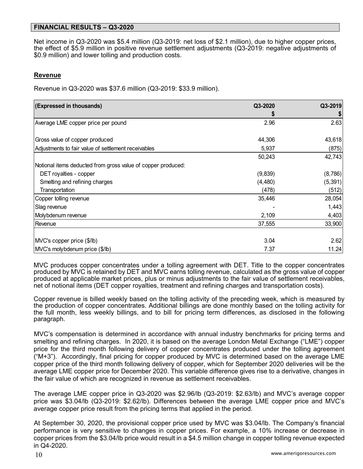#### **FINANCIAL RESULTS – Q3-2020**

Net income in Q3-2020 was \$5.4 million (Q3-2019: net loss of \$2.1 million), due to higher copper prices, the effect of \$5.9 million in positive revenue settlement adjustments (Q3-2019: negative adjustments of \$0.9 million) and lower tolling and production costs.

#### **Revenue**

Revenue in Q3-2020 was \$37.6 million (Q3-2019: \$33.9 million).

| (Expressed in thousands)                                     | Q3-2020  | Q3-2019  |
|--------------------------------------------------------------|----------|----------|
|                                                              |          |          |
| Average LME copper price per pound                           | 2.96     | 2.63     |
| Gross value of copper produced                               | 44,306   | 43,618   |
|                                                              |          |          |
| Adjustments to fair value of settlement receivables          | 5,937    | (875)    |
|                                                              | 50,243   | 42,743   |
| Notional items deducted from gross value of copper produced: |          |          |
| DET royalties - copper                                       | (9,839)  | (8,786)  |
| Smelting and refining charges                                | (4, 480) | (5, 391) |
| Transportation                                               | (478)    | (512)    |
| Copper tolling revenue                                       | 35,446   | 28,054   |
| Slag revenue                                                 |          | 1,443    |
| Molybdenum revenue                                           | 2,109    | 4,403    |
| Revenue                                                      | 37,555   | 33,900   |
| MVC's copper price (\$/lb)                                   | 3.04     | 2.62     |
| MVC's molybdenum price (\$/lb)                               | 7.37     | 11.24    |

MVC produces copper concentrates under a tolling agreement with DET. Title to the copper concentrates produced by MVC is retained by DET and MVC earns tolling revenue, calculated as the gross value of copper produced at applicable market prices, plus or minus adjustments to the fair value of settlement receivables, net of notional items (DET copper royalties, treatment and refining charges and transportation costs).

Copper revenue is billed weekly based on the tolling activity of the preceding week, which is measured by the production of copper concentrates. Additional billings are done monthly based on the tolling activity for the full month, less weekly billings, and to bill for pricing term differences, as disclosed in the following paragraph.

MVC's compensation is determined in accordance with annual industry benchmarks for pricing terms and smelting and refining charges. In 2020, it is based on the average London Metal Exchange ("LME") copper price for the third month following delivery of copper concentrates produced under the tolling agreement  $("M+3")$ . Accordingly, final pricing for copper produced by MVC is determined based on the average LME copper price of the third month following delivery of copper, which for September 2020 deliveries will be the average LME copper price for December 2020. This variable difference gives rise to a derivative, changes in the fair value of which are recognized in revenue as settlement receivables.

The average LME copper price in Q3-2020 was \$2.96/lb (Q3-2019: \$2.63/lb) and MVC's average copper price was \$3.04/lb (Q3-2019: \$2.62/lb). Differences between the average LME copper price and MVC's average copper price result from the pricing terms that applied in the period.

At September 30, 2020, the provisional copper price used by MVC was \$3.04/lb. The Company's financial performance is very sensitive to changes in copper prices. For example, a 10% increase or decrease in copper prices from the \$3.04/lb price would result in a \$4.5 million change in copper tolling revenue expected in Q4-2020.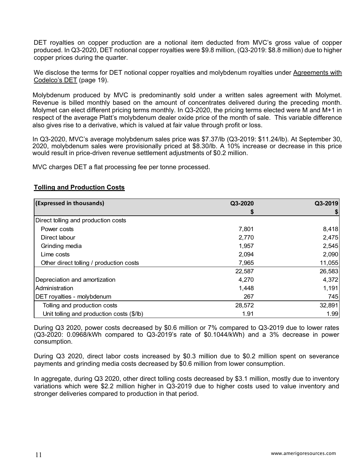DET royalties on copper production are a notional item deducted from MVC's gross value of copper produced. In Q3-2020, DET notional copper royalties were \$9.8 million, (Q3-2019: \$8.8 million) due to higher copper prices during the quarter.

We disclose the terms for DET notional copper royalties and molybdenum royalties under Agreements with Codelco's DET (page 19).

Molybdenum produced by MVC is predominantly sold under a written sales agreement with Molymet. Revenue is billed monthly based on the amount of concentrates delivered during the preceding month. Molymet can elect different pricing terms monthly. In Q3-2020, the pricing terms elected were M and M+1 in respect of the average Platt's molybdenum dealer oxide price of the month of sale. This variable difference also gives rise to a derivative, which is valued at fair value through profit or loss.

In Q3-2020, MVC's average molybdenum sales price was \$7.37/lb (Q3-2019: \$11.24/lb). At September 30, 2020, molybdenum sales were provisionally priced at \$8.30/lb. A 10% increase or decrease in this price would result in price-driven revenue settlement adjustments of \$0.2 million.

MVC charges DET a flat processing fee per tonne processed.

| (Expressed in thousands)                  | Q3-2020 | Q3-2019 |
|-------------------------------------------|---------|---------|
|                                           | \$      | \$      |
| Direct tolling and production costs       |         |         |
| Power costs                               | 7,801   | 8,418   |
| Direct labour                             | 2,770   | 2,475   |
| Grinding media                            | 1,957   | 2,545   |
| Lime costs                                | 2,094   | 2,090   |
| Other direct tolling / production costs   | 7,965   | 11,055  |
|                                           | 22,587  | 26,583  |
| Depreciation and amortization             | 4,270   | 4,372   |
| Administration                            | 1,448   | 1,191   |
| DET royalties - molybdenum                | 267     | 745     |
| Tolling and production costs              | 28,572  | 32,891  |
| Unit tolling and production costs (\$/lb) | 1.91    | 1.99    |

# **Tolling and Production Costs**

During Q3 2020, power costs decreased by \$0.6 million or 7% compared to Q3-2019 due to lower rates (Q3-2020: 0.0968/kWh compared to Q3-2019's rate of \$0.1044/kWh) and a 3% decrease in power consumption.

During Q3 2020, direct labor costs increased by \$0.3 million due to \$0.2 million spent on severance payments and grinding media costs decreased by \$0.6 million from lower consumption.

In aggregate, during Q3 2020, other direct tolling costs decreased by \$3.1 million, mostly due to inventory variations which were \$2.2 million higher in Q3-2019 due to higher costs used to value inventory and stronger deliveries compared to production in that period.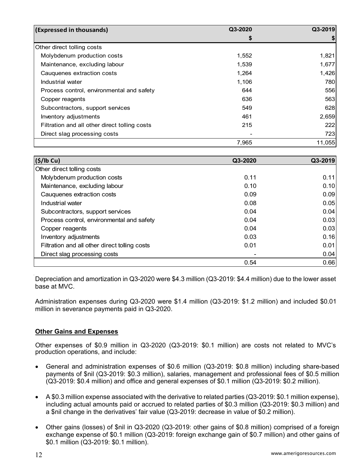| (Expressed in thousands)                      | Q3-2020 | Q3-2019 |
|-----------------------------------------------|---------|---------|
|                                               | S       |         |
| Other direct tolling costs                    |         |         |
| Molybdenum production costs                   | 1,552   | 1,821   |
| Maintenance, excluding labour                 | 1,539   | 1,677   |
| Cauquenes extraction costs                    | 1,264   | 1,426   |
| Industrial water                              | 1,106   | 780     |
| Process control, environmental and safety     | 644     | 556     |
| Copper reagents                               | 636     | 563     |
| Subcontractors, support services              | 549     | 628     |
| Inventory adjustments                         | 461     | 2,659   |
| Filtration and all other direct tolling costs | 215     | 222     |
| Direct slag processing costs                  |         | 723     |
|                                               | 7,965   | 11,055  |

| (S/lb Cu)                                     | Q3-2020 | Q3-2019 |
|-----------------------------------------------|---------|---------|
| Other direct tolling costs                    |         |         |
| Molybdenum production costs                   | 0.11    | 0.11    |
| Maintenance, excluding labour                 | 0.10    | 0.10    |
| Cauquenes extraction costs                    | 0.09    | 0.09    |
| Industrial water                              | 0.08    | 0.05    |
| Subcontractors, support services              | 0.04    | 0.04    |
| Process control, environmental and safety     | 0.04    | 0.03    |
| Copper reagents                               | 0.04    | 0.03    |
| Inventory adjustments                         | 0.03    | 0.16    |
| Filtration and all other direct tolling costs | 0.01    | 0.01    |
| Direct slag processing costs                  |         | 0.04    |
|                                               | 0.54    | 0.66    |

Depreciation and amortization in Q3-2020 were \$4.3 million (Q3-2019: \$4.4 million) due to the lower asset base at MVC.

Administration expenses during Q3-2020 were \$1.4 million (Q3-2019: \$1.2 million) and included \$0.01 million in severance payments paid in Q3-2020.

# **Other Gains and Expenses**

Other expenses of \$0.9 million in Q3-2020 (Q3-2019: \$0.1 million) are costs not related to MVC's production operations, and include:

- General and administration expenses of \$0.6 million (Q3-2019: \$0.8 million) including share-based payments of \$nil (Q3-2019: \$0.3 million), salaries, management and professional fees of \$0.5 million (Q3-2019: \$0.4 million) and office and general expenses of \$0.1 million (Q3-2019: \$0.2 million).
- A \$0.3 million expense associated with the derivative to related parties (Q3-2019: \$0.1 million expense), including actual amounts paid or accrued to related parties of \$0.3 million (Q3-2019: \$0.3 million) and a \$nil change in the derivatives' fair value (Q3-2019: decrease in value of \$0.2 million).
- Other gains (losses) of \$nil in Q3-2020 (Q3-2019: other gains of \$0.8 million) comprised of a foreign exchange expense of \$0.1 million (Q3-2019: foreign exchange gain of \$0.7 million) and other gains of \$0.1 million (Q3-2019: \$0.1 million).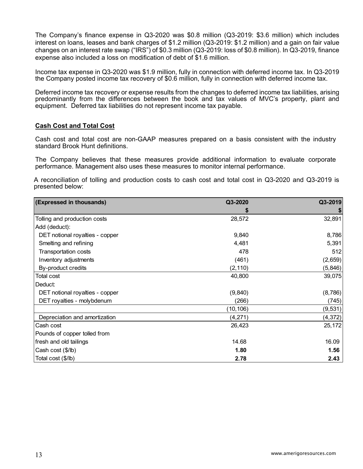The Company's finance expense in Q3-2020 was \$0.8 million (Q3-2019: \$3.6 million) which includes interest on loans, leases and bank charges of \$1.2 million (Q3-2019: \$1.2 million) and a gain on fair value changes on an interest rate swap ("IRS") of \$0.3 million (Q3-2019: loss of \$0.8 million). In Q3-2019, finance expense also included a loss on modification of debt of \$1.6 million.

Income tax expense in Q3-2020 was \$1.9 million, fully in connection with deferred income tax. In Q3-2019 the Company posted income tax recovery of \$0.6 million, fully in connection with deferred income tax.

Deferred income tax recovery or expense results from the changes to deferred income tax liabilities, arising predominantly from the differences between the book and tax values of MVC's property, plant and equipment. Deferred tax liabilities do not represent income tax payable.

#### **Cash Cost and Total Cost**

Cash cost and total cost are non-GAAP measures prepared on a basis consistent with the industry standard Brook Hunt definitions.

The Company believes that these measures provide additional information to evaluate corporate performance. Management also uses these measures to monitor internal performance.

A reconciliation of tolling and production costs to cash cost and total cost in Q3-2020 and Q3-2019 is presented below:

| (Expressed in thousands)        | Q3-2020  | Q3-2019  |
|---------------------------------|----------|----------|
|                                 | S        |          |
| Tolling and production costs    | 28,572   | 32,891   |
| Add (deduct):                   |          |          |
| DET notional royalties - copper | 9,840    | 8,786    |
| Smelting and refining           | 4,481    | 5,391    |
| Transportation costs            | 478      | 512      |
| Inventory adjustments           | (461)    | (2,659)  |
| By-product credits              | (2, 110) | (5, 846) |
| Total cost                      | 40,800   | 39,075   |
| Deduct:                         |          |          |
| DET notional royalties - copper | (9,840)  | (8,786)  |
| DET royalties - molybdenum      | (266)    | (745)    |
|                                 | (10,106) | (9, 531) |
| Depreciation and amortization   | (4,271)  | (4, 372) |
| Cash cost                       | 26,423   | 25,172   |
| Pounds of copper tolled from    |          |          |
| fresh and old tailings          | 14.68    | 16.09    |
| Cash cost (\$/lb)               | 1.80     | 1.56     |
| Total cost (\$/lb)              | 2.78     | 2.43     |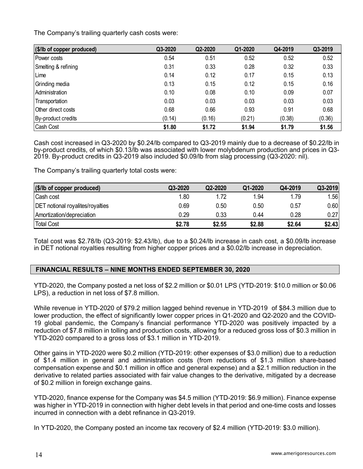The Company's trailing quarterly cash costs were:

| (\$/lb of copper produced) | Q3-2020 | Q2-2020 | Q1-2020 | Q4-2019 | Q3-2019 |
|----------------------------|---------|---------|---------|---------|---------|
| Power costs                | 0.54    | 0.51    | 0.52    | 0.52    | 0.52    |
| Smelting & refining        | 0.31    | 0.33    | 0.28    | 0.32    | 0.33    |
| Lime                       | 0.14    | 0.12    | 0.17    | 0.15    | 0.13    |
| Grinding media             | 0.13    | 0.15    | 0.12    | 0.15    | 0.16    |
| Administration             | 0.10    | 0.08    | 0.10    | 0.09    | 0.07    |
| Transportation             | 0.03    | 0.03    | 0.03    | 0.03    | 0.03    |
| Other direct costs         | 0.68    | 0.66    | 0.93    | 0.91    | 0.68    |
| By-product credits         | (0.14)  | (0.16)  | (0.21)  | (0.38)  | (0.36)  |
| Cash Cost                  | \$1.80  | \$1.72  | \$1.94  | \$1.79  | \$1.56  |

Cash cost increased in Q3-2020 by \$0.24/lb compared to Q3-2019 mainly due to a decrease of \$0.22/lb in by-product credits, of which \$0.13/lb was associated with lower molybdenum production and prices in Q3- 2019. By-product credits in Q3-2019 also included \$0.09/lb from slag processing (Q3-2020: nil).

The Company's trailing quarterly total costs were:

| (\$/lb of copper produced)              | Q3-2020 | Q2-2020 | Q1-2020 | Q4-2019 | Q3-2019 |
|-----------------------------------------|---------|---------|---------|---------|---------|
| Cash cost                               | 1.80    | 1.72    | 1.94    | 1.79    | 1.56    |
| <b>DET</b> notional royalites/royalties | 0.69    | 0.50    | 0.50    | 0.57    | 0.60    |
| Amortization/depreciation               | 0.29    | 0.33    | 0.44    | 0.28    | 0.27    |
| <b>Total Cost</b>                       | \$2.78  | \$2.55  | \$2.88  | \$2.64  | \$2.43  |

Total cost was \$2.78/lb (Q3-2019: \$2.43/lb), due to a \$0.24/lb increase in cash cost, a \$0.09/lb increase in DET notional royalties resulting from higher copper prices and a \$0.02/lb increase in depreciation.

## **FINANCIAL RESULTS – NINE MONTHS ENDED SEPTEMBER 30, 2020**

YTD-2020, the Company posted a net loss of \$2.2 million or \$0.01 LPS (YTD-2019: \$10.0 million or \$0.06 LPS), a reduction in net loss of \$7.8 million.

While revenue in YTD-2020 of \$79.2 million lagged behind revenue in YTD-2019 of \$84.3 million due to lower production, the effect of significantly lower copper prices in Q1-2020 and Q2-2020 and the COVID-19 global pandemic, the Company's financial performance YTD-2020 was positively impacted by a reduction of \$7.8 million in tolling and production costs, allowing for a reduced gross loss of \$0.3 million in YTD-2020 compared to a gross loss of \$3.1 million in YTD-2019.

Other gains in YTD-2020 were \$0.2 million (YTD-2019: other expenses of \$3.0 million) due to a reduction of \$1.4 million in general and administration costs (from reductions of \$1.3 million share-based compensation expense and \$0.1 million in office and general expense) and a \$2.1 million reduction in the derivative to related parties associated with fair value changes to the derivative, mitigated by a decrease of \$0.2 million in foreign exchange gains.

YTD-2020, finance expense for the Company was \$4.5 million (YTD-2019: \$6.9 million). Finance expense was higher in YTD-2019 in connection with higher debt levels in that period and one-time costs and losses incurred in connection with a debt refinance in Q3-2019.

In YTD-2020, the Company posted an income tax recovery of \$2.4 million (YTD-2019: \$3.0 million).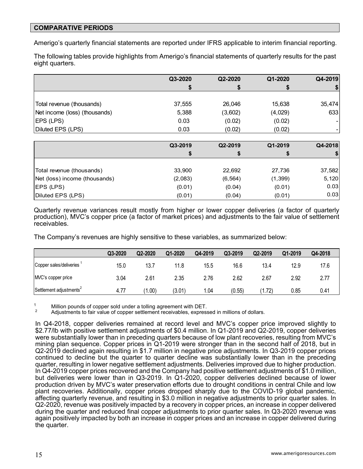## **COMPARATIVE PERIODS**

Amerigo's quarterly financial statements are reported under IFRS applicable to interim financial reporting.

The following tables provide highlights from Amerigo's financial statements of quarterly results for the past eight quarters.

|                               | Q3-2020 | Q2-2020 | Q1-2020 | Q4-2019 |
|-------------------------------|---------|---------|---------|---------|
|                               |         |         |         |         |
|                               |         |         |         |         |
| Total revenue (thousands)     | 37,555  | 26,046  | 15,638  | 35,474  |
| Net income (loss) (thousands) | 5,388   | (3,602) | (4,029) | 633     |
| EPS (LPS)                     | 0.03    | (0.02)  | (0.02)  | - 1     |
| Diluted EPS (LPS)             | 0.03    | (0.02)  | (0.02)  |         |

|                               | Q3-2019 | Q2-2019  | Q1-2019  | Q4-2018 |
|-------------------------------|---------|----------|----------|---------|
|                               |         |          | \$       |         |
|                               |         |          |          |         |
| Total revenue (thousands)     | 33,900  | 22,692   | 27,736   | 37,582  |
| Net (loss) income (thousands) | (2,083) | (6, 564) | (1, 399) | 5,120   |
| EPS (LPS)                     | (0.01)  | (0.04)   | (0.01)   | 0.03    |
| Diluted EPS (LPS)             | (0.01)  | (0.04)   | (0.01)   | 0.03    |

Quarterly revenue variances result mostly from higher or lower copper deliveries (a factor of quarterly production), MVC's copper price (a factor of market prices) and adjustments to the fair value of settlement receivables.

The Company's revenues are highly sensitive to these variables, as summarized below:

|                                     | Q3-2020 | Q2-2020 | Q1-2020 | Q4-2019 | Q3-2019 | Q2-2019 | Q1-2019 | Q4-2018 |
|-------------------------------------|---------|---------|---------|---------|---------|---------|---------|---------|
| Copper sales/deliveries             | 15.0    | 13.7    | 11.8    | 15.5    | 16.6    | 13.4    | 12.9    | 17.6    |
| MVC's copper price                  | 3.04    | 2.61    | 2.35    | 2.76    | 2.62    | 2.67    | 2.92    | 2.77    |
| Settlement adjustments <sup>2</sup> | 4.77    | (.00)   | (3.01)  | 1.04    | (0.55)  | 1.72    | 0.85    | 0.41    |

<sup>1</sup> Million pounds of copper sold under a tolling agreement with DET.<br><sup>2</sup> Adjustments to fair value of copper settlement receivables, expressed in millions of dollars.

In Q4-2018, copper deliveries remained at record level and MVC's copper price improved slightly to \$2.77/lb with positive settlement adjustments of \$0.4 million. In Q1-2019 and Q2-2019, copper deliveries were substantially lower than in preceding quarters because of low plant recoveries, resulting from MVC's mining plan sequence. Copper prices in Q1-2019 were stronger than in the second half of 2018, but in Q2-2019 declined again resulting in \$1.7 million in negative price adjustments. In Q3-2019 copper prices continued to decline but the quarter to quarter decline was substantially lower than in the preceding quarter, resulting in lower negative settlement adjustments. Deliveries improved due to higher production. In Q4-2019 copper prices recovered and the Company had positive settlement adjustments of \$1.0 million, but deliveries were lower than in Q3-2019. In Q1-2020, copper deliveries declined because of lower production driven by MVC's water preservation efforts due to drought conditions in central Chile and low plant recoveries. Additionally, copper prices dropped sharply due to the COVID-19 global pandemic, affecting quarterly revenue, and resulting in \$3.0 million in negative adjustments to prior quarter sales. In Q2-2020, revenue was positively impacted by a recovery in copper prices, an increase in copper delivered during the quarter and reduced final copper adjustments to prior quarter sales. In Q3-2020 revenue was again positively impacted by both an increase in copper prices and an increase in copper delivered during the quarter.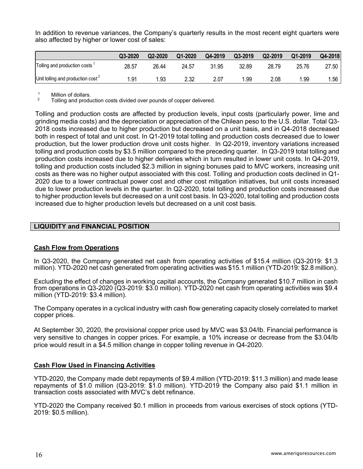In addition to revenue variances, the Company's quarterly results in the most recent eight quarters were also affected by higher or lower cost of sales:

|                                      | Q3-2020 | Q2-2020 | Q1-2020 | Q4-2019 | Q3-2019 | Q2-2019 | Q1-2019 | Q4-2018 |
|--------------------------------------|---------|---------|---------|---------|---------|---------|---------|---------|
| Tolling and production costs         | 28.57   | 26.44   | 24.57   | 31.95   | 32.89   | 28.79   | 25.76   | 27.50 I |
| Unit tolling and production $cost^2$ | .91     | .93     | 2.32    | 2.07    | .99     | 2.08    | 1.99    | .56     |

 $\frac{1}{2}$  Million of dollars.

2 Tolling and production costs divided over pounds of copper delivered.

Tolling and production costs are affected by production levels, input costs (particularly power, lime and grinding media costs) and the depreciation or appreciation of the Chilean peso to the U.S. dollar. Total Q3- 2018 costs increased due to higher production but decreased on a unit basis, and in Q4-2018 decreased both in respect of total and unit cost. In Q1-2019 total tolling and production costs decreased due to lower production, but the lower production drove unit costs higher. In Q2-2019, inventory variations increased tolling and production costs by \$3.5 million compared to the preceding quarter. In Q3-2019 total tolling and production costs increased due to higher deliveries which in turn resulted in lower unit costs. In Q4-2019, tolling and production costs included \$2.3 million in signing bonuses paid to MVC workers, increasing unit costs as there was no higher output associated with this cost. Tolling and production costs declined in Q1- 2020 due to a lower contractual power cost and other cost mitigation initiatives, but unit costs increased due to lower production levels in the quarter. In Q2-2020, total tolling and production costs increased due to higher production levels but decreased on a unit cost basis. In Q3-2020, total tolling and production costs increased due to higher production levels but decreased on a unit cost basis.

# **LIQUIDITY and FINANCIAL POSITION**

## **Cash Flow from Operations**

In Q3-2020, the Company generated net cash from operating activities of \$15.4 million (Q3-2019: \$1.3 million). YTD-2020 net cash generated from operating activities was \$15.1 million (YTD-2019: \$2.8 million).

Excluding the effect of changes in working capital accounts, the Company generated \$10.7 million in cash from operations in Q3-2020 (Q3-2019: \$3.0 million). YTD-2020 net cash from operating activities was \$9.4 million (YTD-2019: \$3.4 million).

The Company operates in a cyclical industry with cash flow generating capacity closely correlated to market copper prices.

At September 30, 2020, the provisional copper price used by MVC was \$3.04/lb. Financial performance is very sensitive to changes in copper prices. For example, a 10% increase or decrease from the \$3.04/lb price would result in a \$4.5 million change in copper tolling revenue in Q4-2020.

## **Cash Flow Used in Financing Activities**

YTD-2020, the Company made debt repayments of \$9.4 million (YTD-2019: \$11.3 million) and made lease repayments of \$1.0 million (Q3-2019: \$1.0 million). YTD-2019 the Company also paid \$1.1 million in transaction costs associated with MVC's debt refinance.

YTD-2020 the Company received \$0.1 million in proceeds from various exercises of stock options (YTD-2019: \$0.5 million).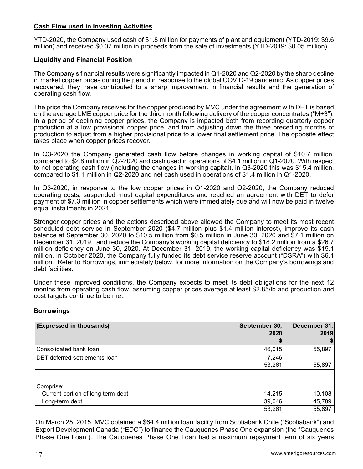# **Cash Flow used in Investing Activities**

YTD-2020, the Company used cash of \$1.8 million for payments of plant and equipment (YTD-2019: \$9.6 million) and received \$0.07 million in proceeds from the sale of investments (YTD-2019: \$0.05 million).

#### **Liquidity and Financial Position**

The Company's financial results were significantly impacted in Q1-2020 and Q2-2020 by the sharp decline in market copper prices during the period in response to the global COVID-19 pandemic. As copper prices recovered, they have contributed to a sharp improvement in financial results and the generation of operating cash flow.

The price the Company receives for the copper produced by MVC under the agreement with DET is based on the average LME copper price for the third month following delivery of the copper concentrates ("M+3"). In a period of declining copper prices, the Company is impacted both from recording quarterly copper production at a low provisional copper price, and from adjusting down the three preceding months of production to adjust from a higher provisional price to a lower final settlement price. The opposite effect takes place when copper prices recover.

In Q3-2020 the Company generated cash flow before changes in working capital of \$10.7 million, compared to \$2.8 million in Q2-2020 and cash used in operations of \$4.1 million in Q1-2020. With respect to net operating cash flow (including the changes in working capital), in Q3-2020 this was \$15.4 million, compared to \$1.1 million in Q2-2020 and net cash used in operations of \$1.4 million in Q1-2020.

In Q3-2020, in response to the low copper prices in Q1-2020 and Q2-2020, the Company reduced operating costs, suspended most capital expenditures and reached an agreement with DET to defer payment of \$7.3 million in copper settlements which were immediately due and will now be paid in twelve equal installments in 2021.

Stronger copper prices and the actions described above allowed the Company to meet its most recent scheduled debt service in September 2020 (\$4.7 million plus \$1.4 million interest), improve its cash balance at September 30, 2020 to \$10.5 million from \$0.5 million in June 30, 2020 and \$7.1 million on December 31, 2019, and reduce the Company's working capital deficiency to \$18.2 million from a \$26.7 million deficiency on June 30, 2020. At December 31, 2019, the working capital deficiency was \$15.1 million. In October 2020, the Company fully funded its debt service reserve account ("DSRA") with \$6.1 million. Refer to Borrowings, immediately below, for more information on the Company's borrowings and debt facilities.

Under these improved conditions, the Company expects to meet its debt obligations for the next 12 months from operating cash flow, assuming copper prices average at least \$2.85/lb and production and cost targets continue to be met.

#### **Borrowings**

| (Expressed in thousands)             | September 30, | December 31, |
|--------------------------------------|---------------|--------------|
|                                      | 2020          | 2019         |
|                                      |               |              |
| Consolidated bank loan               | 46,015        | 55,897       |
| <b>DET deferred settlements loan</b> | 7,246         |              |
|                                      | 53,261        | 55,897       |
|                                      |               |              |
| Comprise:                            |               |              |
| Current portion of long-term debt    | 14,215        | 10,108       |
| Long-term debt                       | 39,046        | 45,789       |
|                                      | 53,261        | 55,897       |

On March 25, 2015, MVC obtained a \$64.4 million loan facility from Scotiabank Chile ("Scotiabank") and Export Development Canada ("EDC") to finance the Cauquenes Phase One expansion (the "Cauquenes Phase One Loan"). The Cauquenes Phase One Loan had a maximum repayment term of six years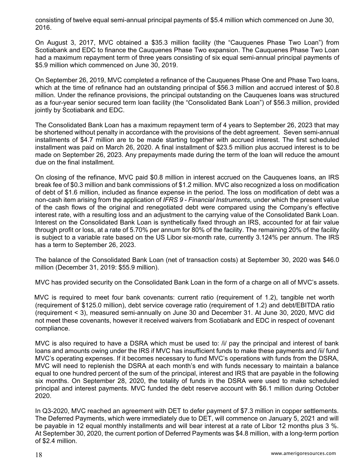consisting of twelve equal semi-annual principal payments of \$5.4 million which commenced on June 30, 2016.

On August 3, 2017, MVC obtained a \$35.3 million facility (the "Cauquenes Phase Two Loan") from Scotiabank and EDC to finance the Cauquenes Phase Two expansion. The Cauquenes Phase Two Loan had a maximum repayment term of three years consisting of six equal semi-annual principal payments of \$5.9 million which commenced on June 30, 2019.

On September 26, 2019, MVC completed a refinance of the Cauquenes Phase One and Phase Two loans, which at the time of refinance had an outstanding principal of \$56.3 million and accrued interest of \$0.8 million. Under the refinance provisions, the principal outstanding on the Cauquenes loans was structured as a four-year senior secured term loan facility (the "Consolidated Bank Loan") of \$56.3 million, provided jointly by Scotiabank and EDC.

The Consolidated Bank Loan has a maximum repayment term of 4 years to September 26, 2023 that may be shortened without penalty in accordance with the provisions of the debt agreement. Seven semi-annual installments of \$4.7 million are to be made starting together with accrued interest. The first scheduled installment was paid on March 26, 2020. A final installment of \$23.5 million plus accrued interest is to be made on September 26, 2023. Any prepayments made during the term of the loan will reduce the amount due on the final installment.

On closing of the refinance, MVC paid \$0.8 million in interest accrued on the Cauquenes loans, an IRS break fee of \$0.3 million and bank commissions of \$1.2 million. MVC also recognized a loss on modification of debt of \$1.6 million, included as finance expense in the period. The loss on modification of debt was a non-cash item arising from the application of *IFRS 9 - Financial Instruments*, under which the present value of the cash flows of the original and renegotiated debt were compared using the Company's effective interest rate, with a resulting loss and an adjustment to the carrying value of the Consolidated Bank Loan. Interest on the Consolidated Bank Loan is synthetically fixed through an IRS, accounted for at fair value through profit or loss, at a rate of 5.70% per annum for 80% of the facility. The remaining 20% of the facility is subject to a variable rate based on the US Libor six-month rate, currently 3.124% per annum. The IRS has a term to September 26, 2023.

The balance of the Consolidated Bank Loan (net of transaction costs) at September 30, 2020 was \$46.0 million (December 31, 2019: \$55.9 million).

MVC has provided security on the Consolidated Bank Loan in the form of a charge on all of MVC's assets.

 MVC is required to meet four bank covenants: current ratio (requirement of 1.2), tangible net worth (requirement of \$125.0 million), debt service coverage ratio (requirement of 1.2) and debt/EBITDA ratio (requirement < 3), measured semi-annually on June 30 and December 31. At June 30, 2020, MVC did not meet these covenants, however it received waivers from Scotiabank and EDC in respect of covenant compliance.

MVC is also required to have a DSRA which must be used to: /i/ pay the principal and interest of bank loans and amounts owing under the IRS if MVC has insufficient funds to make these payments and /ii/ fund MVC's operating expenses. If it becomes necessary to fund MVC's operations with funds from the DSRA, MVC will need to replenish the DSRA at each month's end with funds necessary to maintain a balance equal to one hundred percent of the sum of the principal, interest and IRS that are payable in the following six months. On September 28, 2020, the totality of funds in the DSRA were used to make scheduled principal and interest payments. MVC funded the debt reserve account with \$6.1 million during October 2020.

In Q3-2020, MVC reached an agreement with DET to defer payment of \$7.3 million in copper settlements. The Deferred Payments, which were immediately due to DET, will commence on January 5, 2021 and will be payable in 12 equal monthly installments and will bear interest at a rate of Libor 12 months plus 3 %. At September 30, 2020, the current portion of Deferred Payments was \$4.8 million, with a long-term portion of \$2.4 million.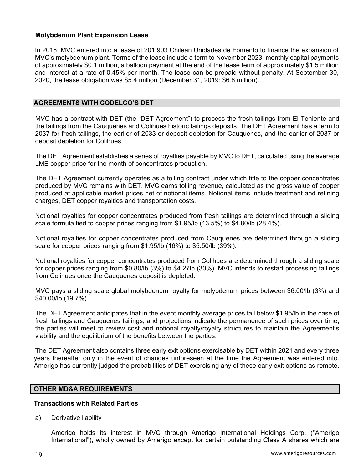## **Molybdenum Plant Expansion Lease**

In 2018, MVC entered into a lease of 201,903 Chilean Unidades de Fomento to finance the expansion of MVC's molybdenum plant. Terms of the lease include a term to November 2023, monthly capital payments of approximately \$0.1 million, a balloon payment at the end of the lease term of approximately \$1.5 million and interest at a rate of 0.45% per month. The lease can be prepaid without penalty. At September 30, 2020, the lease obligation was \$5.4 million (December 31, 2019: \$6.8 million).

#### **AGREEMENTS WITH CODELCO'S DET**

MVC has a contract with DET (the "DET Agreement") to process the fresh tailings from El Teniente and the tailings from the Cauquenes and Colihues historic tailings deposits. The DET Agreement has a term to 2037 for fresh tailings, the earlier of 2033 or deposit depletion for Cauquenes, and the earlier of 2037 or deposit depletion for Colihues.

The DET Agreement establishes a series of royalties payable by MVC to DET, calculated using the average LME copper price for the month of concentrates production.

The DET Agreement currently operates as a tolling contract under which title to the copper concentrates produced by MVC remains with DET. MVC earns tolling revenue, calculated as the gross value of copper produced at applicable market prices net of notional items. Notional items include treatment and refining charges, DET copper royalties and transportation costs.

Notional royalties for copper concentrates produced from fresh tailings are determined through a sliding scale formula tied to copper prices ranging from \$1.95/lb (13.5%) to \$4.80/lb (28.4%).

Notional royalties for copper concentrates produced from Cauquenes are determined through a sliding scale for copper prices ranging from \$1.95/lb (16%) to \$5.50/lb (39%).

Notional royalties for copper concentrates produced from Colihues are determined through a sliding scale for copper prices ranging from \$0.80/lb (3%) to \$4.27lb (30%). MVC intends to restart processing tailings from Colihues once the Cauquenes deposit is depleted.

MVC pays a sliding scale global molybdenum royalty for molybdenum prices between \$6.00/lb (3%) and \$40.00/lb (19.7%).

The DET Agreement anticipates that in the event monthly average prices fall below \$1.95/lb in the case of fresh tailings and Cauquenes tailings, and projections indicate the permanence of such prices over time, the parties will meet to review cost and notional royalty/royalty structures to maintain the Agreement's viability and the equilibrium of the benefits between the parties.

The DET Agreement also contains three early exit options exercisable by DET within 2021 and every three years thereafter only in the event of changes unforeseen at the time the Agreement was entered into. Amerigo has currently judged the probabilities of DET exercising any of these early exit options as remote.

#### **OTHER MD&A REQUIREMENTS**

#### **Transactions with Related Parties**

a) Derivative liability

Amerigo holds its interest in MVC through Amerigo International Holdings Corp. ("Amerigo International"), wholly owned by Amerigo except for certain outstanding Class A shares which are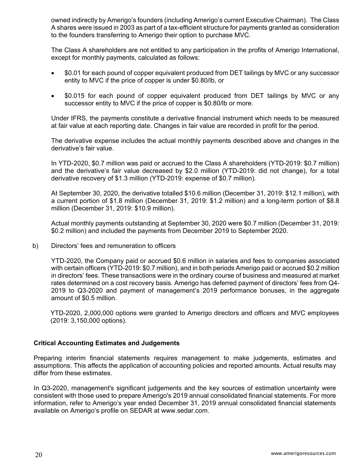owned indirectly by Amerigo's founders (including Amerigo's current Executive Chairman). The Class A shares were issued in 2003 as part of a tax-efficient structure for payments granted as consideration to the founders transferring to Amerigo their option to purchase MVC.

The Class A shareholders are not entitled to any participation in the profits of Amerigo International, except for monthly payments, calculated as follows:

- \$0.01 for each pound of copper equivalent produced from DET tailings by MVC or any successor entity to MVC if the price of copper is under \$0.80/lb, or
- \$0.015 for each pound of copper equivalent produced from DET tailings by MVC or any successor entity to MVC if the price of copper is \$0.80/lb or more.

Under IFRS, the payments constitute a derivative financial instrument which needs to be measured at fair value at each reporting date. Changes in fair value are recorded in profit for the period.

The derivative expense includes the actual monthly payments described above and changes in the derivative's fair value.

In YTD-2020, \$0.7 million was paid or accrued to the Class A shareholders (YTD-2019: \$0.7 million) and the derivative's fair value decreased by \$2.0 million (YTD-2019: did not change), for a total derivative recovery of \$1.3 million (YTD-2019: expense of \$0.7 million).

At September 30, 2020, the derivative totalled \$10.6 million (December 31, 2019: \$12.1 million), with a current portion of \$1.8 million (December 31, 2019: \$1.2 million) and a long-term portion of \$8.8 million (December 31, 2019: \$10.9 million).

Actual monthly payments outstanding at September 30, 2020 were \$0.7 million (December 31, 2019: \$0.2 million) and included the payments from December 2019 to September 2020.

b) Directors' fees and remuneration to officers

 YTD-2020, the Company paid or accrued \$0.6 million in salaries and fees to companies associated with certain officers (YTD-2019: \$0.7 million), and in both periods Amerigo paid or accrued \$0.2 million in directors' fees. These transactions were in the ordinary course of business and measured at market rates determined on a cost recovery basis. Amerigo has deferred payment of directors' fees from Q4- 2019 to Q3-2020 and payment of management's 2019 performance bonuses, in the aggregate amount of \$0.5 million.

YTD-2020, 2,000,000 options were granted to Amerigo directors and officers and MVC employees (2019: 3,150,000 options).

## **Critical Accounting Estimates and Judgements**

Preparing interim financial statements requires management to make judgements, estimates and assumptions. This affects the application of accounting policies and reported amounts. Actual results may differ from these estimates.

In Q3-2020, management's significant judgements and the key sources of estimation uncertainty were consistent with those used to prepare Amerigo's 2019 annual consolidated financial statements. For more information, refer to Amerigo's year ended December 31, 2019 annual consolidated financial statements available on Amerigo's profile on SEDAR at www.sedar.com.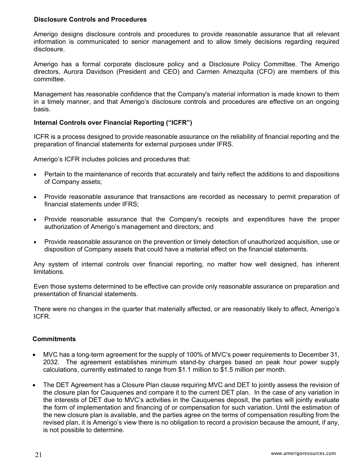## **Disclosure Controls and Procedures**

Amerigo designs disclosure controls and procedures to provide reasonable assurance that all relevant information is communicated to senior management and to allow timely decisions regarding required disclosure.

Amerigo has a formal corporate disclosure policy and a Disclosure Policy Committee. The Amerigo directors, Aurora Davidson (President and CEO) and Carmen Amezquita (CFO) are members of this committee.

Management has reasonable confidence that the Company's material information is made known to them in a timely manner, and that Amerigo's disclosure controls and procedures are effective on an ongoing basis.

## **Internal Controls over Financial Reporting ("ICFR")**

ICFR is a process designed to provide reasonable assurance on the reliability of financial reporting and the preparation of financial statements for external purposes under IFRS.

Amerigo's ICFR includes policies and procedures that:

- Pertain to the maintenance of records that accurately and fairly reflect the additions to and dispositions of Company assets;
- Provide reasonable assurance that transactions are recorded as necessary to permit preparation of financial statements under IFRS;
- Provide reasonable assurance that the Company's receipts and expenditures have the proper authorization of Amerigo's management and directors; and
- Provide reasonable assurance on the prevention or timely detection of unauthorized acquisition, use or disposition of Company assets that could have a material effect on the financial statements.

Any system of internal controls over financial reporting, no matter how well designed, has inherent limitations.

Even those systems determined to be effective can provide only reasonable assurance on preparation and presentation of financial statements.

There were no changes in the quarter that materially affected, or are reasonably likely to affect, Amerigo's ICFR.

#### **Commitments**

- MVC has a long-term agreement for the supply of 100% of MVC's power requirements to December 31, 2032. The agreement establishes minimum stand-by charges based on peak hour power supply calculations, currently estimated to range from \$1.1 million to \$1.5 million per month.
- The DET Agreement has a Closure Plan clause requiring MVC and DET to jointly assess the revision of the closure plan for Cauquenes and compare it to the current DET plan. In the case of any variation in the interests of DET due to MVC's activities in the Cauquenes deposit, the parties will jointly evaluate the form of implementation and financing of or compensation for such variation. Until the estimation of the new closure plan is available, and the parties agree on the terms of compensation resulting from the revised plan, it is Amerigo's view there is no obligation to record a provision because the amount, if any, is not possible to determine.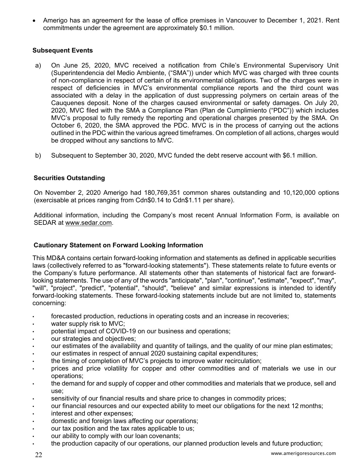Amerigo has an agreement for the lease of office premises in Vancouver to December 1, 2021. Rent commitments under the agreement are approximately \$0.1 million.

# **Subsequent Events**

- a) On June 25, 2020, MVC received a notification from Chile's Environmental Supervisory Unit (Superintendencia del Medio Ambiente, ("SMA")) under which MVC was charged with three counts of non-compliance in respect of certain of its environmental obligations. Two of the charges were in respect of deficiencies in MVC's environmental compliance reports and the third count was associated with a delay in the application of dust suppressing polymers on certain areas of the Cauquenes deposit. None of the charges caused environmental or safety damages. On July 20, 2020, MVC filed with the SMA a Compliance Plan (Plan de Cumplimiento ("PDC")) which includes MVC's proposal to fully remedy the reporting and operational charges presented by the SMA. On October 6, 2020, the SMA approved the PDC. MVC is in the process of carrying out the actions outlined in the PDC within the various agreed timeframes. On completion of all actions, charges would be dropped without any sanctions to MVC.
- b) Subsequent to September 30, 2020, MVC funded the debt reserve account with \$6.1 million.

## **Securities Outstanding**

On November 2, 2020 Amerigo had 180,769,351 common shares outstanding and 10,120,000 options (exercisable at prices ranging from Cdn\$0.14 to Cdn\$1.11 per share).

Additional information, including the Company's most recent Annual Information Form, is available on SEDAR at www.sedar.com.

## **Cautionary Statement on Forward Looking Information**

This MD&A contains certain forward-looking information and statements as defined in applicable securities laws (collectively referred to as "forward-looking statements"). These statements relate to future events or the Company's future performance. All statements other than statements of historical fact are forwardlooking statements. The use of any of the words "anticipate", "plan", "continue", "estimate", "expect", "may", "will", "project", "predict", "potential", "should", "believe" and similar expressions is intended to identify forward-looking statements. These forward-looking statements include but are not limited to, statements concerning:

- forecasted production, reductions in operating costs and an increase in recoveries;
- water supply risk to MVC;
- potential impact of COVID-19 on our business and operations;
- our strategies and objectives;
- our estimates of the availability and quantity of tailings, and the quality of our mine plan estimates;
- our estimates in respect of annual 2020 sustaining capital expenditures;
- the timing of completion of MVC's projects to improve water recirculation;
- prices and price volatility for copper and other commodities and of materials we use in our operations;
- the demand for and supply of copper and other commodities and materials that we produce, sell and use;
- sensitivity of our financial results and share price to changes in commodity prices;
- our financial resources and our expected ability to meet our obligations for the next 12 months;
- interest and other expenses;
- domestic and foreign laws affecting our operations;
- our tax position and the tax rates applicable to us;
- our ability to comply with our loan covenants;
- the production capacity of our operations, our planned production levels and future production;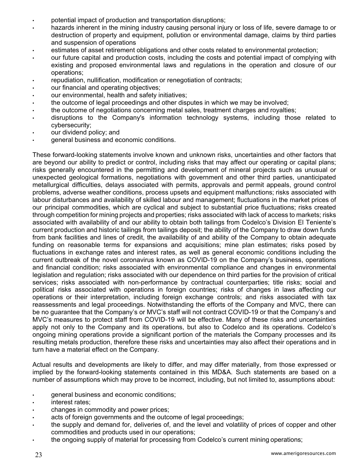- potential impact of production and transportation disruptions;
- hazards inherent in the mining industry causing personal injury or loss of life, severe damage to or destruction of property and equipment, pollution or environmental damage, claims by third parties and suspension of operations
- estimates of asset retirement obligations and other costs related to environmental protection;
- our future capital and production costs, including the costs and potential impact of complying with existing and proposed environmental laws and regulations in the operation and closure of our operations;
- repudiation, nullification, modification or renegotiation of contracts;
- our financial and operating objectives;
- our environmental, health and safety initiatives;
- the outcome of legal proceedings and other disputes in which we may be involved;
- the outcome of negotiations concerning metal sales, treatment charges and royalties;
- disruptions to the Company's information technology systems, including those related to cybersecurity;
- our dividend policy; and
- general business and economic conditions.

These forward-looking statements involve known and unknown risks, uncertainties and other factors that are beyond our ability to predict or control, including risks that may affect our operating or capital plans; risks generally encountered in the permitting and development of mineral projects such as unusual or unexpected geological formations, negotiations with government and other third parties, unanticipated metallurgical difficulties, delays associated with permits, approvals and permit appeals, ground control problems, adverse weather conditions, process upsets and equipment malfunctions; risks associated with labour disturbances and availability of skilled labour and management; fluctuations in the market prices of our principal commodities, which are cyclical and subject to substantial price fluctuations; risks created through competition for mining projects and properties; risks associated with lack of access to markets; risks associated with availability of and our ability to obtain both tailings from Codelco's Division El Teniente's current production and historic tailings from tailings deposit; the ability of the Company to draw down funds from bank facilities and lines of credit, the availability of and ability of the Company to obtain adequate funding on reasonable terms for expansions and acquisitions; mine plan estimates; risks posed by fluctuations in exchange rates and interest rates, as well as general economic conditions including the current outbreak of the novel coronavirus known as COVID-19 on the Company's business, operations and financial condition; risks associated with environmental compliance and changes in environmental legislation and regulation; risks associated with our dependence on third parties for the provision of critical services; risks associated with non-performance by contractual counterparties; title risks; social and political risks associated with operations in foreign countries; risks of changes in laws affecting our operations or their interpretation, including foreign exchange controls; and risks associated with tax reassessments and legal proceedings. Notwithstanding the efforts of the Company and MVC, there can be no guarantee that the Company's or MVC's staff will not contract COVID-19 or that the Company's and MVC's measures to protect staff from COVID-19 will be effective. Many of these risks and uncertainties apply not only to the Company and its operations, but also to Codelco and its operations. Codelco's ongoing mining operations provide a significant portion of the materials the Company processes and its resulting metals production, therefore these risks and uncertainties may also affect their operations and in turn have a material effect on the Company.

Actual results and developments are likely to differ, and may differ materially, from those expressed or implied by the forward-looking statements contained in this MD&A. Such statements are based on a number of assumptions which may prove to be incorrect, including, but not limited to, assumptions about:

- general business and economic conditions;
- interest rates;
- changes in commodity and power prices;
- acts of foreign governments and the outcome of legal proceedings;
- the supply and demand for, deliveries of, and the level and volatility of prices of copper and other commodities and products used in our operations;
- the ongoing supply of material for processing from Codelco's current mining operations;